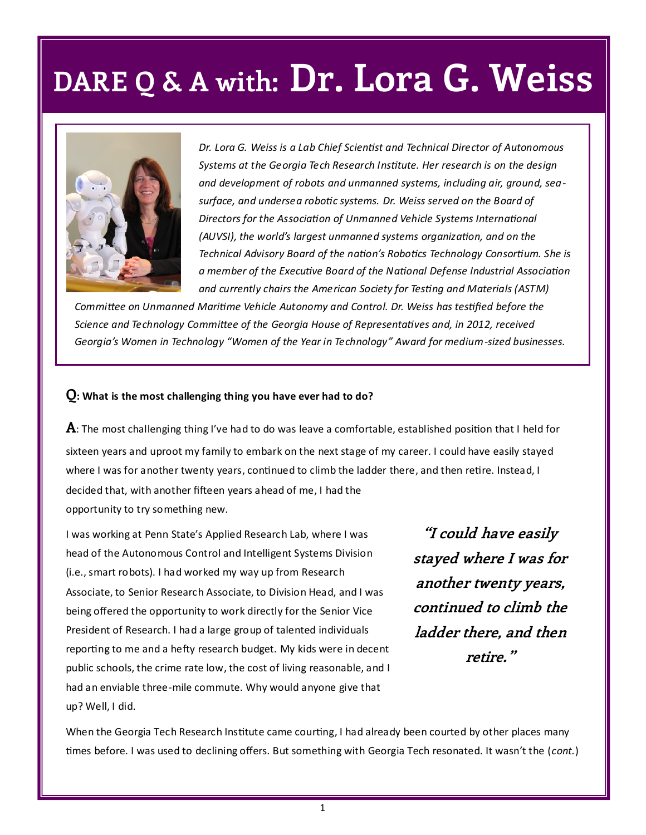

*Dr. Lora G. Weiss is a Lab Chief Scientist and Technical Director of Autonomous Systems at the Georgia Tech Research Institute. Her research is on the design and development of robots and unmanned systems, including air, ground, seasurface, and undersea robotic systems. Dr. Weiss served on the Board of Directors for the Association of Unmanned Vehicle Systems International (AUVSI), the world's largest unmanned systems organization, and on the Technical Advisory Board of the nation's Robotics Technology Consortium. She is a member of the Executive Board of the National Defense Industrial Association and currently chairs the American Society for Testing and Materials (ASTM)* 

*Committee on Unmanned Maritime Vehicle Autonomy and Control. Dr. Weiss has testified before the Science and Technology Committee of the Georgia House of Representatives and, in 2012, received Georgia's Women in Technology "Women of the Year in Technology" Award for medium-sized businesses.* 

#### **Q: What is the most challenging thing you have ever had to do?**

**A**: The most challenging thing I've had to do was leave a comfortable, established position that I held for sixteen years and uproot my family to embark on the next stage of my career. I could have easily stayed where I was for another twenty years, continued to climb the ladder there, and then retire. Instead, I decided that, with another fifteen years ahead of me, I had the opportunity to try something new.

I was working at Penn State's Applied Research Lab, where I was head of the Autonomous Control and Intelligent Systems Division (i.e., smart robots). I had worked my way up from Research Associate, to Senior Research Associate, to Division Head, and I was being offered the opportunity to work directly for the Senior Vice President of Research. I had a large group of talented individuals reporting to me and a hefty research budget. My kids were in decent public schools, the crime rate low, the cost of living reasonable, and I had an enviable three-mile commute. Why would anyone give that up? Well, I did.

**"I could have easily stayed where I was for another twenty years, continued to climb the ladder there, and then retire."**

When the Georgia Tech Research Institute came courting, I had already been courted by other places many times before. I was used to declining offers. But something with Georgia Tech resonated. It wasn't the (*cont.*)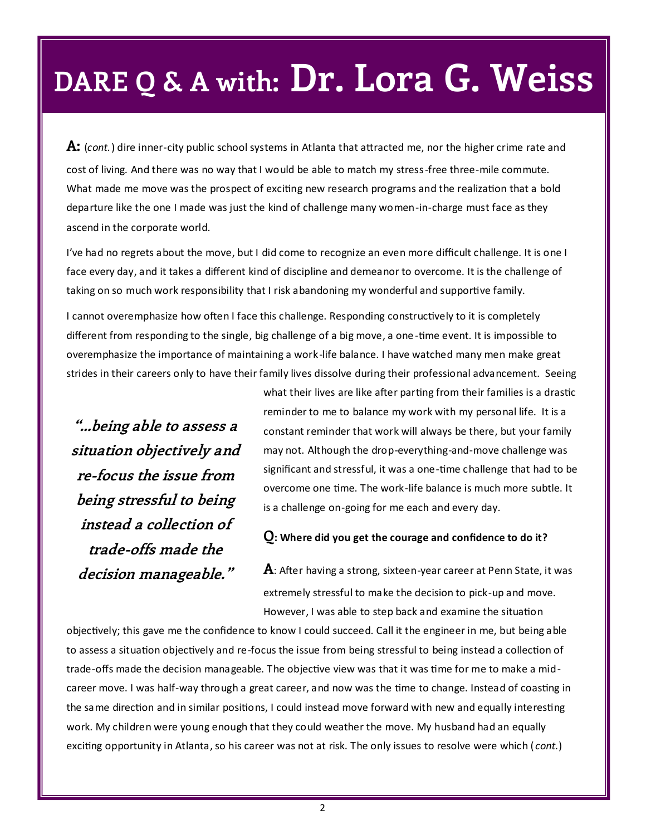**A:** (*cont.*) dire inner-city public school systems in Atlanta that attracted me, nor the higher crime rate and cost of living. And there was no way that I would be able to match my stress-free three-mile commute. What made me move was the prospect of exciting new research programs and the realization that a bold departure like the one I made was just the kind of challenge many women-in-charge must face as they ascend in the corporate world.

I've had no regrets about the move, but I did come to recognize an even more difficult challenge. It is one I face every day, and it takes a different kind of discipline and demeanor to overcome. It is the challenge of taking on so much work responsibility that I risk abandoning my wonderful and supportive family.

I cannot overemphasize how often I face this challenge. Responding constructively to it is completely different from responding to the single, big challenge of a big move, a one-time event. It is impossible to overemphasize the importance of maintaining a work-life balance. I have watched many men make great strides in their careers only to have their family lives dissolve during their professional advancement. Seeing

**"...being able to assess a situation objectively and re-focus the issue from being stressful to being instead a collection of trade-offs made the decision manageable."**

what their lives are like after parting from their families is a drastic reminder to me to balance my work with my personal life. It is a constant reminder that work will always be there, but your family may not. Although the drop-everything-and-move challenge was significant and stressful, it was a one-time challenge that had to be overcome one time. The work-life balance is much more subtle. It is a challenge on-going for me each and every day.

**Q: Where did you get the courage and confidence to do it?** 

**A**: After having a strong, sixteen-year career at Penn State, it was extremely stressful to make the decision to pick-up and move. However, I was able to step back and examine the situation

objectively; this gave me the confidence to know I could succeed. Call it the engineer in me, but being able to assess a situation objectively and re-focus the issue from being stressful to being instead a collection of trade-offs made the decision manageable. The objective view was that it was time for me to make a midcareer move. I was half-way through a great career, and now was the time to change. Instead of coasting in the same direction and in similar positions, I could instead move forward with new and equally interesting work. My children were young enough that they could weather the move. My husband had an equally exciting opportunity in Atlanta, so his career was not at risk. The only issues to resolve were which ( *cont.*)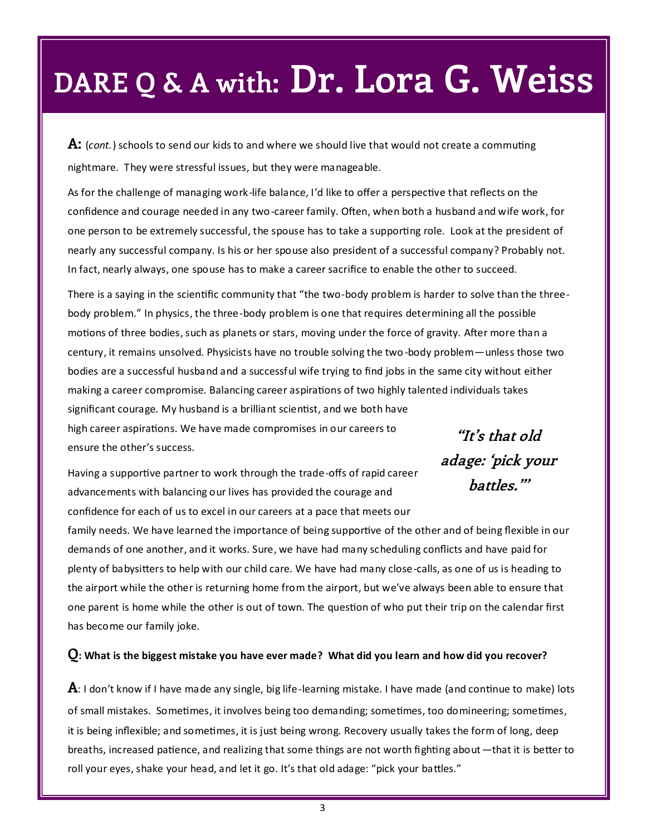**A:** (*cont.*) schools to send our kids to and where we should live that would not create a commuting nightmare. They were stressful issues, but they were manageable.

As for the challenge of managing work-life balance, I'd like to offer a perspective that reflects on the confidence and courage needed in any two-career family. Often, when both a husband and wife work, for one person to be extremely successful, the spouse has to take a supporting role. Look at the president of nearly any successful company. Is his or her spouse also president of a successful company? Probably not. In fact, nearly always, one spouse has to make a career sacrifice to enable the other to succeed.

There is a saying in the scientific community that "the two-body problem is harder to solve than the threebody problem." In physics, the three-body problem is one that requires determining all the possible motions of three bodies, such as planets or stars, moving under the force of gravity. After more than a century, it remains unsolved. Physicists have no trouble solving the two -body problem—unless those two bodies are a successful husband and a successful wife trying to find jobs in the same city without either making a career compromise. Balancing career aspirations of two highly talented individuals takes significant courage. My husband is a brilliant scientist, and we both have high career aspirations. We have made compromises in our careers to ensure the other's success. **"It's that old** 

Having a supportive partner to work through the trade-offs of rapid career advancements with balancing our lives has provided the courage and confidence for each of us to excel in our careers at a pace that meets our

family needs. We have learned the importance of being supportive of the other and of being flexible in our **battles."'**

**adage: 'pick your** 

demands of one another, and it works. Sure, we have had many scheduling conflicts and have paid for plenty of babysitters to help with our child care. We have had many close-calls, as one of us is heading to the airport while the other is returning home from the airport, but we've always been able to ensure that one parent is home while the other is out of town. The question of who put their trip on the calendar first has become our family joke.

#### **Q: What is the biggest mistake you have ever made? What did you learn and how did you recover?**

**A**: I don't know if I have made any single, big life-learning mistake. I have made (and continue to make) lots of small mistakes. Sometimes, it involves being too demanding; sometimes, too domineering; sometimes, it is being inflexible; and sometimes, it is just being wrong. Recovery usually takes the form of long, deep breaths, increased patience, and realizing that some things are not worth fighting about—that it is better to roll your eyes, shake your head, and let it go. It's that old adage: "pick your battles."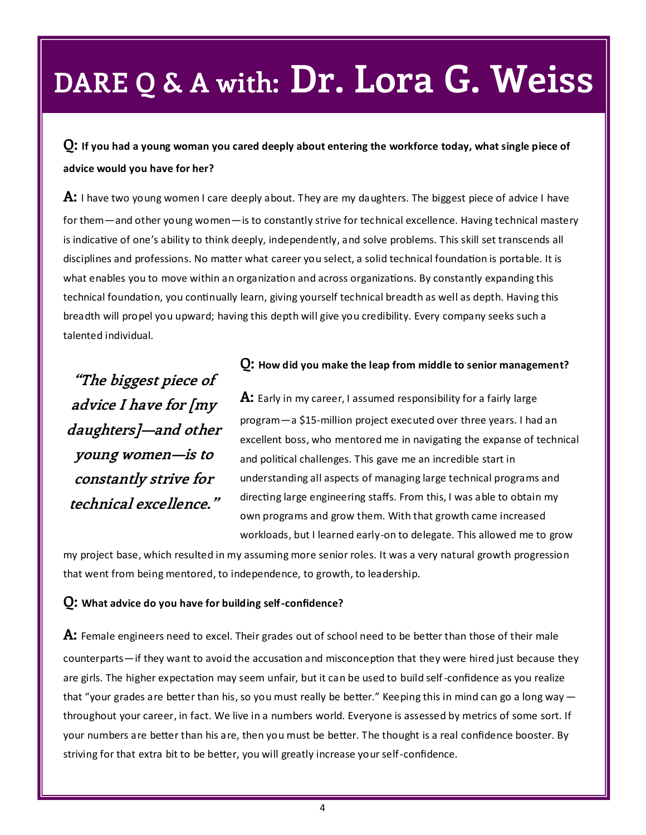**Q: If you had a young woman you cared deeply about entering the workforce today, what single piece of advice would you have for her?**

**A:** I have two young women I care deeply about. They are my daughters. The biggest piece of advice I have for them—and other young women—is to constantly strive for technical excellence. Having technical mastery is indicative of one's ability to think deeply, independently, and solve problems. This skill set transcends all disciplines and professions. No matter what career you select, a solid technical foundation is portable. It is what enables you to move within an organization and across organizations. By constantly expanding this technical foundation, you continually learn, giving yourself technical breadth as well as depth. Having this breadth will propel you upward; having this depth will give you credibility. Every company seeks such a talented individual.

**"The biggest piece of advice I have for [my daughters]—and other young women—is to constantly strive for technical excellence."**

#### **Q: How did you make the leap from middle to senior management?**

**A:** Early in my career, I assumed responsibility for a fairly large program—a \$15-million project executed over three years. I had an excellent boss, who mentored me in navigating the expanse of technical and political challenges. This gave me an incredible start in understanding all aspects of managing large technical programs and directing large engineering staffs. From this, I was able to obtain my own programs and grow them. With that growth came increased workloads, but I learned early-on to delegate. This allowed me to grow

my project base, which resulted in my assuming more senior roles. It was a very natural growth progression that went from being mentored, to independence, to growth, to leadership.

#### **Q: What advice do you have for building self-confidence?**

**A:** Female engineers need to excel. Their grades out of school need to be better than those of their male counterparts—if they want to avoid the accusation and misconception that they were hired just because they are girls. The higher expectation may seem unfair, but it can be used to build self-confidence as you realize that "your grades are better than his, so you must really be better." Keeping this in mind can go a long way throughout your career, in fact. We live in a numbers world. Everyone is assessed by metrics of some sort. If your numbers are better than his are, then you must be better. The thought is a real confidence booster. By striving for that extra bit to be better, you will greatly increase your self-confidence.